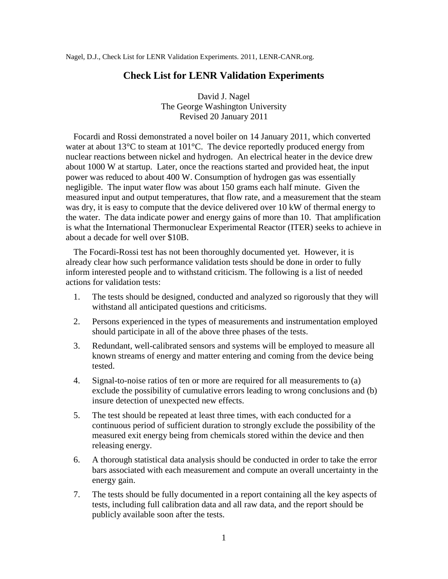Nagel, D.J., Check List for LENR Validation Experiments. 2011, LENR-CANR.org.

## **Check List for LENR Validation Experiments**

David J. Nagel The George Washington University Revised 20 January 2011

Focardi and Rossi demonstrated a novel boiler on 14 January 2011, which converted water at about 13<sup>o</sup>C to steam at 101<sup>o</sup>C. The device reportedly produced energy from nuclear reactions between nickel and hydrogen. An electrical heater in the device drew about 1000 W at startup. Later, once the reactions started and provided heat, the input power was reduced to about 400 W. Consumption of hydrogen gas was essentially negligible. The input water flow was about 150 grams each half minute. Given the measured input and output temperatures, that flow rate, and a measurement that the steam was dry, it is easy to compute that the device delivered over 10 kW of thermal energy to the water. The data indicate power and energy gains of more than 10. That amplification is what the International Thermonuclear Experimental Reactor (ITER) seeks to achieve in about a decade for well over \$10B.

The Focardi-Rossi test has not been thoroughly documented yet. However, it is already clear how such performance validation tests should be done in order to fully inform interested people and to withstand criticism. The following is a list of needed actions for validation tests:

- 1. The tests should be designed, conducted and analyzed so rigorously that they will withstand all anticipated questions and criticisms.
- 2. Persons experienced in the types of measurements and instrumentation employed should participate in all of the above three phases of the tests.
- 3. Redundant, well-calibrated sensors and systems will be employed to measure all known streams of energy and matter entering and coming from the device being tested.
- 4. Signal-to-noise ratios of ten or more are required for all measurements to (a) exclude the possibility of cumulative errors leading to wrong conclusions and (b) insure detection of unexpected new effects.
- 5. The test should be repeated at least three times, with each conducted for a continuous period of sufficient duration to strongly exclude the possibility of the measured exit energy being from chemicals stored within the device and then releasing energy.
- 6. A thorough statistical data analysis should be conducted in order to take the error bars associated with each measurement and compute an overall uncertainty in the energy gain.
- 7. The tests should be fully documented in a report containing all the key aspects of tests, including full calibration data and all raw data, and the report should be publicly available soon after the tests.